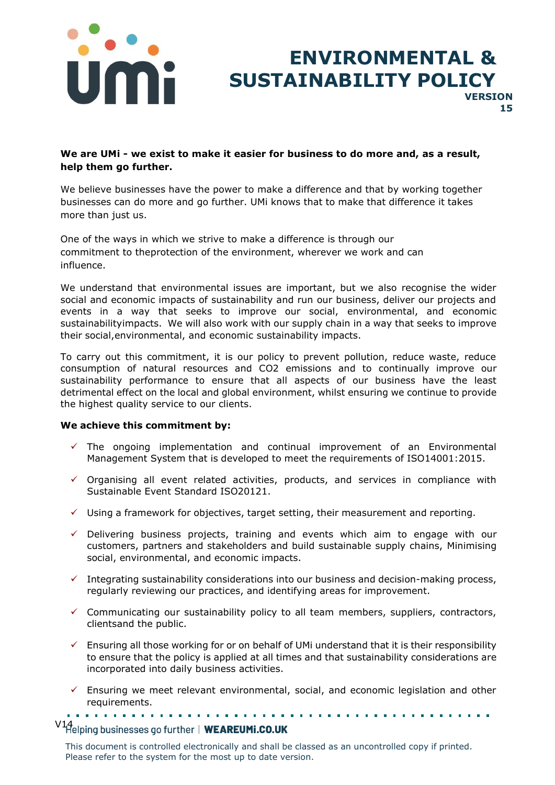

## **ENVIRONMENTAL & SUSTAINABILITY POLICY VERSION 15**

### **We are UMi - we exist to make it easier for business to do more and, as a result, help them go further.**

We believe businesses have the power to make a difference and that by working together businesses can do more and go further. UMi knows that to make that difference it takes more than just us.

One of the ways in which we strive to make a difference is through our commitment to theprotection of the environment, wherever we work and can influence.

We understand that environmental issues are important, but we also recognise the wider social and economic impacts of sustainability and run our business, deliver our projects and events in a way that seeks to improve our social, environmental, and economic sustainabilityimpacts. We will also work with our supply chain in a way that seeks to improve their social,environmental, and economic sustainability impacts.

To carry out this commitment, it is our policy to prevent pollution, reduce waste, reduce consumption of natural resources and CO2 emissions and to continually improve our sustainability performance to ensure that all aspects of our business have the least detrimental effect on the local and global environment, whilst ensuring we continue to provide the highest quality service to our clients.

#### **We achieve this commitment by:**

- $\checkmark$  The ongoing implementation and continual improvement of an Environmental Management System that is developed to meet the requirements of ISO14001:2015.
- $\checkmark$  Organising all event related activities, products, and services in compliance with Sustainable Event Standard ISO20121.
- $\checkmark$  Using a framework for objectives, target setting, their measurement and reporting.
- ✓ Delivering business projects, training and events which aim to engage with our customers, partners and stakeholders and build sustainable supply chains, Minimising social, environmental, and economic impacts.
- $\checkmark$  Integrating sustainability considerations into our business and decision-making process, regularly reviewing our practices, and identifying areas for improvement.
- $\checkmark$  Communicating our sustainability policy to all team members, suppliers, contractors, clientsand the public.
- $\checkmark$  Ensuring all those working for or on behalf of UMi understand that it is their responsibility to ensure that the policy is applied at all times and that sustainability considerations are incorporated into daily business activities.
- $\checkmark$  Ensuring we meet relevant environmental, social, and economic legislation and other requirements.

# V14<br>Helping businesses go further | WEAREUMi.CO.UK

This document is controlled electronically and shall be classed as an uncontrolled copy if printed. Please refer to the system for the most up to date version.